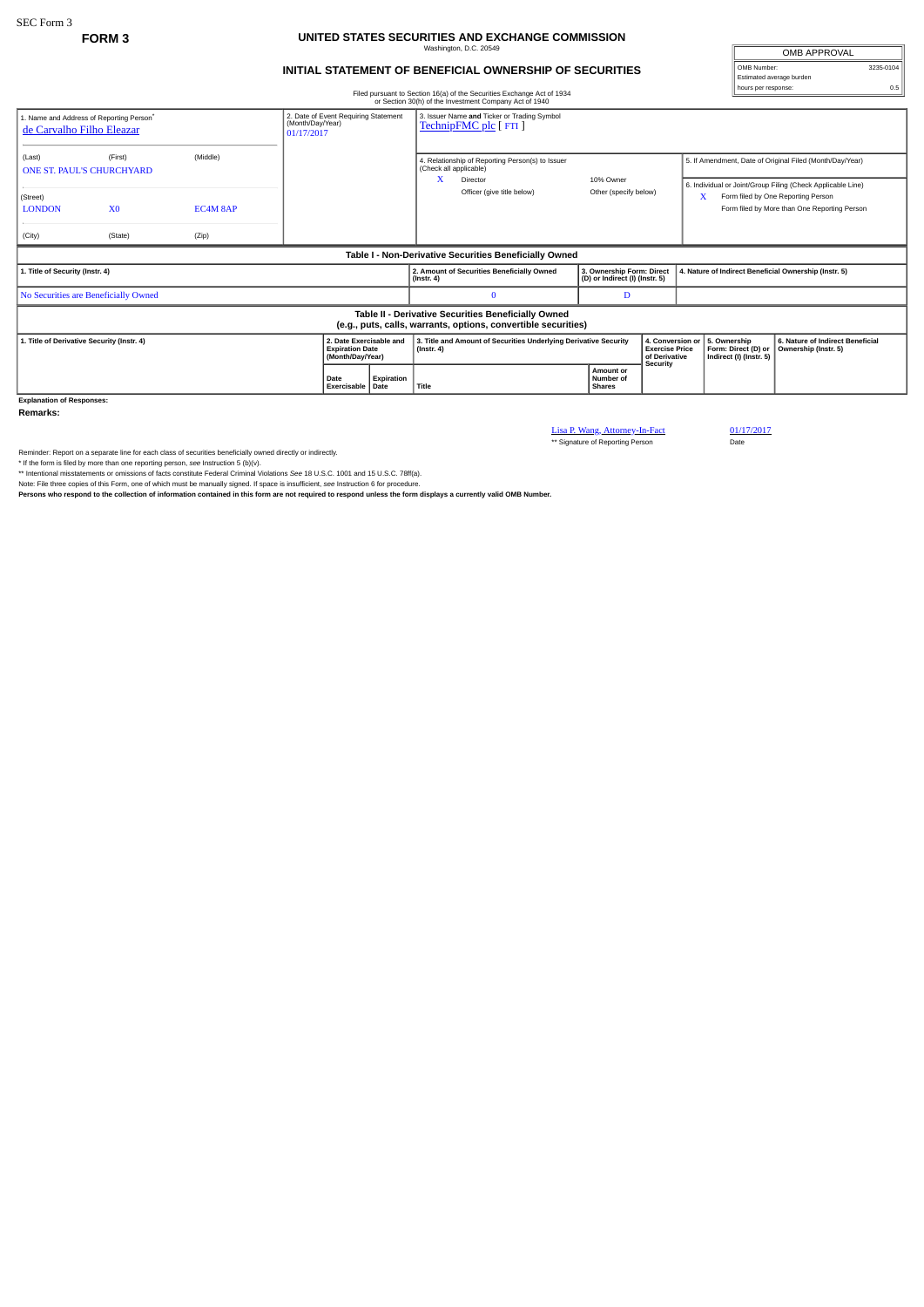## **FORM 3 UNITED STATES SECURITIES AND EXCHANGE COMMISSION** Washington, D.C. 20549

## **INITIAL STATEMENT OF BENEFICIAL OWNERSHIP OF SECURITIES**

OMB APPROVAL OMB Number: 3235-0104 Estimated average burden hours per response: 0.5

|                                                                                                                       |                            |       |  |                                                                        |            |                                                                                      | Filed pursuant to Section 16(a) of the Securities Exchange Act of 1934<br>or Section 30(h) of the Investment Company Act of 1940 |                                                             |  |                  |                                                                                                                                                        |                                                          |  |
|-----------------------------------------------------------------------------------------------------------------------|----------------------------|-------|--|------------------------------------------------------------------------|------------|--------------------------------------------------------------------------------------|----------------------------------------------------------------------------------------------------------------------------------|-------------------------------------------------------------|--|------------------|--------------------------------------------------------------------------------------------------------------------------------------------------------|----------------------------------------------------------|--|
| 1. Name and Address of Reporting Person <sup>*</sup><br>de Carvalho Filho Eleazar                                     |                            |       |  | 2. Date of Event Requiring Statement<br>(Month/Day/Year)<br>01/17/2017 |            | 3. Issuer Name and Ticker or Trading Symbol<br>TechnipFMC plc [ FTI ]                |                                                                                                                                  |                                                             |  |                  |                                                                                                                                                        |                                                          |  |
| (Middle)<br>(First)<br>(Last)<br><b>ONE ST. PAUL'S CHURCHYARD</b>                                                     |                            |       |  | x                                                                      |            |                                                                                      | 4. Relationship of Reporting Person(s) to Issuer<br>(Check all applicable)<br>Director                                           | 10% Owner                                                   |  |                  | 5. If Amendment, Date of Original Filed (Month/Day/Year)                                                                                               |                                                          |  |
| (Street)<br><b>LONDON</b>                                                                                             | X <sub>0</sub><br>EC4M 8AP |       |  |                                                                        |            |                                                                                      | Officer (give title below)                                                                                                       | Other (specify below)                                       |  |                  | 6. Individual or Joint/Group Filing (Check Applicable Line)<br>х<br>Form filed by One Reporting Person<br>Form filed by More than One Reporting Person |                                                          |  |
| (City)                                                                                                                | (State)                    | (Zip) |  |                                                                        |            |                                                                                      |                                                                                                                                  |                                                             |  |                  |                                                                                                                                                        |                                                          |  |
| Table I - Non-Derivative Securities Beneficially Owned                                                                |                            |       |  |                                                                        |            |                                                                                      |                                                                                                                                  |                                                             |  |                  |                                                                                                                                                        |                                                          |  |
| 1. Title of Security (Instr. 4)                                                                                       |                            |       |  |                                                                        |            | $($ Instr. 4 $)$                                                                     | 2. Amount of Securities Beneficially Owned                                                                                       | 3. Ownership Form: Direct<br>(D) or Indirect (I) (Instr. 5) |  |                  | 4. Nature of Indirect Beneficial Ownership (Instr. 5)                                                                                                  |                                                          |  |
| No Securities are Beneficially Owned                                                                                  |                            |       |  |                                                                        |            |                                                                                      | $\Omega$                                                                                                                         | D                                                           |  |                  |                                                                                                                                                        |                                                          |  |
| Table II - Derivative Securities Beneficially Owned<br>(e.g., puts, calls, warrants, options, convertible securities) |                            |       |  |                                                                        |            |                                                                                      |                                                                                                                                  |                                                             |  |                  |                                                                                                                                                        |                                                          |  |
| 1. Title of Derivative Security (Instr. 4)                                                                            |                            |       |  | 2. Date Exercisable and<br><b>Expiration Date</b><br>(Month/Day/Year)  |            | 3. Title and Amount of Securities Underlying Derivative Security<br>$($ Instr. 4 $)$ |                                                                                                                                  | <b>Exercise Price</b><br>of Derivative<br><b>Security</b>   |  | 4. Conversion or | 5. Ownership<br>Form: Direct (D) or<br>Indirect (I) (Instr. 5)                                                                                         | 6. Nature of Indirect Beneficial<br>Ownership (Instr. 5) |  |
|                                                                                                                       |                            |       |  | Date<br>Exercisable   Date                                             | Expiration | Title                                                                                |                                                                                                                                  | Amount or<br>Number of<br><b>Shares</b>                     |  |                  |                                                                                                                                                        |                                                          |  |
| <b>Explanation of Responses:</b>                                                                                      |                            |       |  |                                                                        |            |                                                                                      |                                                                                                                                  |                                                             |  |                  |                                                                                                                                                        |                                                          |  |

**Remarks:**

Lisa P. Wang, Attorney-In-Fact 01/17/2017<br>\*\* Signature of Reporting Person Date

Reminder: Report on a separate line for each class of securities beneficially owned directly or indirectly.<br>\* If the form is filed by more than one reporting person, see Instruction 5 (b)(v).<br>\* Intentional misstatements or